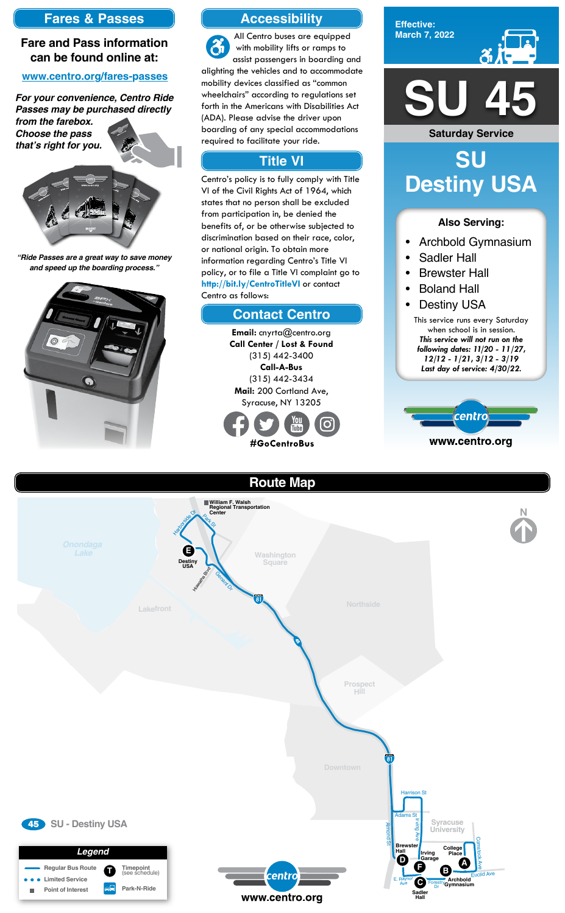**Effective: March 7, 2022**



- Archbold Gymnasium
- Sadler Hall
- Brewster Hall
- **Boland Hall**
- **Destiny USA**

#### **Also Serving:**

# **SU Destiny USA**

# **Accessibility**

## **Contact Centro**

# **Title VI**

All Centro buses are equipped with mobility lifts or ramps to assist passengers in boarding and alighting the vehicles and to accommodate mobility devices classified as "common wheelchairs" according to regulations set forth in the Americans with Disabilities Act (ADA). Please advise the driver upon boarding of any special accommodations required to facilitate your ride.

> **Email:** cnyrta@centro.org **Call Center / Lost & Found** (315) 442-3400 **Call-A-Bus** (315) 442-3434 **Mail:** 200 Cortland Ave, Syracuse, NY 13205



Centro's policy is to fully comply with Title VI of the Civil Rights Act of 1964, which states that no person shall be excluded from participation in, be denied the benefits of, or be otherwise subjected to discrimination based on their race, color, or national origin. To obtain more information regarding Centro's Title VI policy, or to file a Title VI complaint go to **http://bit.ly/CentroTitleVI** or contact Centro as follows:

### **Fares & Passes**

### **Fare and Pass information can be found online at:**

#### **www.centro.org/fares-passes**

*"Ride Passes are a great way to save money and speed up the boarding process."*



*For your convenience, Centro Ride Passes may be purchased directly* 

*from the farebox. Choose the pass that's right for you.*







This service runs every Saturday when school is in session. *This service will not run on the following dates: 11/20 - 11/27, 12/12 - 1/21, 3/12 - 3/19 Last day of service: 4/30/22.*



**Route Map Lakefront Washington Square Northside** Genent Or Highway River **William F. Walsh<br>
Regional Transportation<br>
Center<br>
C<sub>A</sub><sub>C</sup>**</sub>  $\epsilon$ Harborside Dr **E Destiny USA**



**Saturday Service**